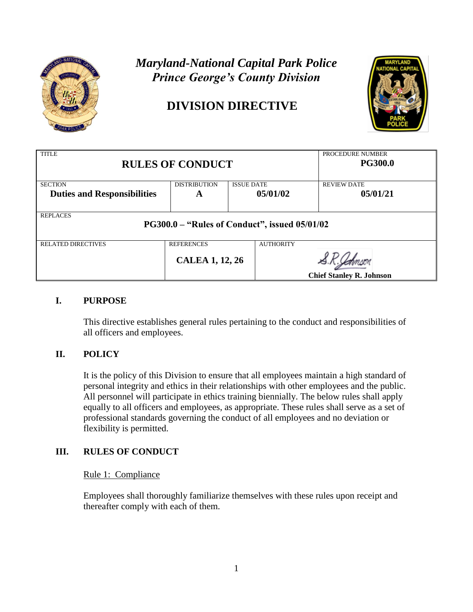

# *Maryland-National Capital Park Police Prince George's County Division*

# **DIVISION DIRECTIVE**



| <b>TITLE</b><br><b>RULES OF CONDUCT</b>                                 |                        |                   |                                 | PROCEDURE NUMBER<br><b>PG300.0</b> |
|-------------------------------------------------------------------------|------------------------|-------------------|---------------------------------|------------------------------------|
| <b>SECTION</b>                                                          | <b>DISTRIBUTION</b>    | <b>ISSUE DATE</b> |                                 | <b>REVIEW DATE</b>                 |
| <b>Duties and Responsibilities</b>                                      | A                      |                   | 05/01/02                        | 05/01/21                           |
| <b>REPLACES</b><br><b>PG300.0 – "Rules of Conduct", issued 05/01/02</b> |                        |                   |                                 |                                    |
| <b>RELATED DIRECTIVES</b>                                               | <b>REFERENCES</b>      |                   | <b>AUTHORITY</b>                |                                    |
|                                                                         | <b>CALEA 1, 12, 26</b> |                   | <b>Chief Stanley R. Johnson</b> |                                    |

# **I. PURPOSE**

This directive establishes general rules pertaining to the conduct and responsibilities of all officers and employees.

# **II. POLICY**

It is the policy of this Division to ensure that all employees maintain a high standard of personal integrity and ethics in their relationships with other employees and the public. All personnel will participate in ethics training biennially. The below rules shall apply equally to all officers and employees, as appropriate. These rules shall serve as a set of professional standards governing the conduct of all employees and no deviation or flexibility is permitted.

# **III. RULES OF CONDUCT**

## Rule 1: Compliance

Employees shall thoroughly familiarize themselves with these rules upon receipt and thereafter comply with each of them.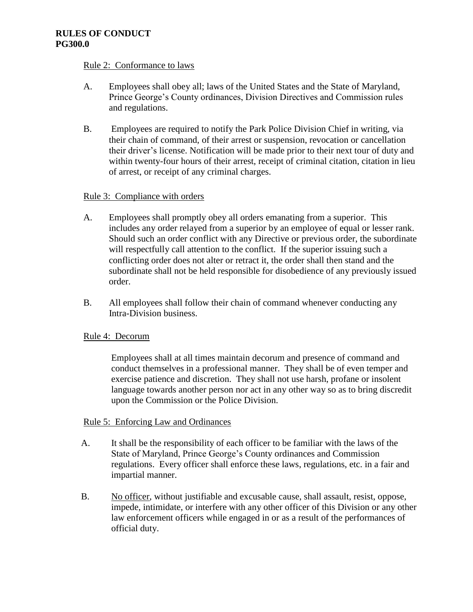#### Rule 2: Conformance to laws

- A. Employees shall obey all; laws of the United States and the State of Maryland, Prince George's County ordinances, Division Directives and Commission rules and regulations.
- B. Employees are required to notify the Park Police Division Chief in writing, via their chain of command, of their arrest or suspension, revocation or cancellation their driver's license. Notification will be made prior to their next tour of duty and within twenty-four hours of their arrest, receipt of criminal citation, citation in lieu of arrest, or receipt of any criminal charges.

## Rule 3: Compliance with orders

- A. Employees shall promptly obey all orders emanating from a superior. This includes any order relayed from a superior by an employee of equal or lesser rank. Should such an order conflict with any Directive or previous order, the subordinate will respectfully call attention to the conflict. If the superior issuing such a conflicting order does not alter or retract it, the order shall then stand and the subordinate shall not be held responsible for disobedience of any previously issued order.
- B. All employees shall follow their chain of command whenever conducting any Intra-Division business.

## Rule 4: Decorum

Employees shall at all times maintain decorum and presence of command and conduct themselves in a professional manner. They shall be of even temper and exercise patience and discretion. They shall not use harsh, profane or insolent language towards another person nor act in any other way so as to bring discredit upon the Commission or the Police Division.

## Rule 5: Enforcing Law and Ordinances

- A. It shall be the responsibility of each officer to be familiar with the laws of the State of Maryland, Prince George's County ordinances and Commission regulations. Every officer shall enforce these laws, regulations, etc. in a fair and impartial manner.
- B. No officer, without justifiable and excusable cause, shall assault, resist, oppose, impede, intimidate, or interfere with any other officer of this Division or any other law enforcement officers while engaged in or as a result of the performances of official duty.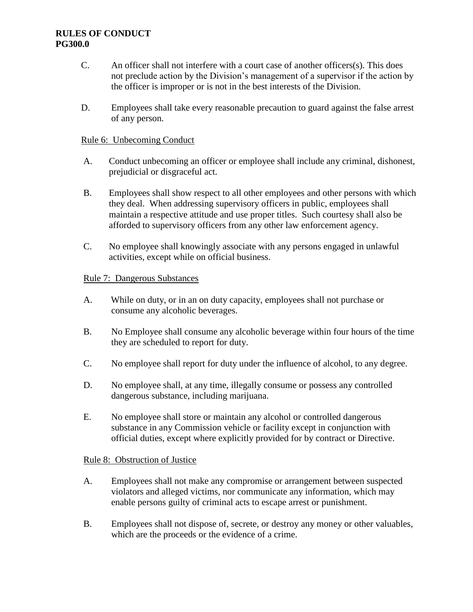- C. An officer shall not interfere with a court case of another officers(s). This does not preclude action by the Division's management of a supervisor if the action by the officer is improper or is not in the best interests of the Division.
- D. Employees shall take every reasonable precaution to guard against the false arrest of any person.

## Rule 6: Unbecoming Conduct

- A. Conduct unbecoming an officer or employee shall include any criminal, dishonest, prejudicial or disgraceful act.
- B. Employees shall show respect to all other employees and other persons with which they deal. When addressing supervisory officers in public, employees shall maintain a respective attitude and use proper titles. Such courtesy shall also be afforded to supervisory officers from any other law enforcement agency.
- C. No employee shall knowingly associate with any persons engaged in unlawful activities, except while on official business.

# Rule 7: Dangerous Substances

- A. While on duty, or in an on duty capacity, employees shall not purchase or consume any alcoholic beverages.
- B. No Employee shall consume any alcoholic beverage within four hours of the time they are scheduled to report for duty.
- C. No employee shall report for duty under the influence of alcohol, to any degree.
- D. No employee shall, at any time, illegally consume or possess any controlled dangerous substance, including marijuana.
- E. No employee shall store or maintain any alcohol or controlled dangerous substance in any Commission vehicle or facility except in conjunction with official duties, except where explicitly provided for by contract or Directive.

## Rule 8: Obstruction of Justice

- A. Employees shall not make any compromise or arrangement between suspected violators and alleged victims, nor communicate any information, which may enable persons guilty of criminal acts to escape arrest or punishment.
- B. Employees shall not dispose of, secrete, or destroy any money or other valuables, which are the proceeds or the evidence of a crime.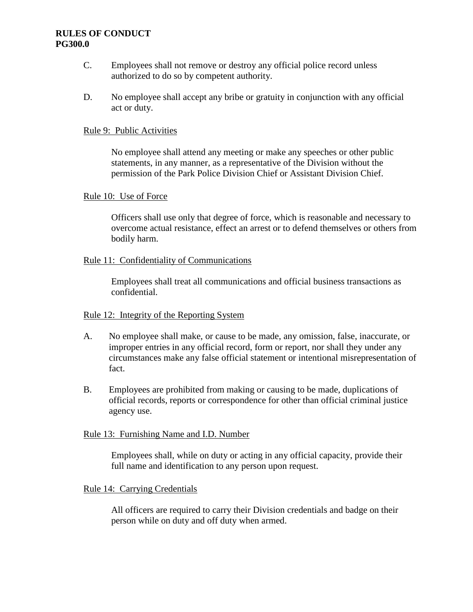- C. Employees shall not remove or destroy any official police record unless authorized to do so by competent authority.
- D. No employee shall accept any bribe or gratuity in conjunction with any official act or duty.

## Rule 9: Public Activities

No employee shall attend any meeting or make any speeches or other public statements, in any manner, as a representative of the Division without the permission of the Park Police Division Chief or Assistant Division Chief.

#### Rule 10: Use of Force

Officers shall use only that degree of force, which is reasonable and necessary to overcome actual resistance, effect an arrest or to defend themselves or others from bodily harm.

#### Rule 11: Confidentiality of Communications

Employees shall treat all communications and official business transactions as confidential.

## Rule 12: Integrity of the Reporting System

- A. No employee shall make, or cause to be made, any omission, false, inaccurate, or improper entries in any official record, form or report, nor shall they under any circumstances make any false official statement or intentional misrepresentation of fact.
- B. Employees are prohibited from making or causing to be made, duplications of official records, reports or correspondence for other than official criminal justice agency use.

## Rule 13: Furnishing Name and I.D. Number

Employees shall, while on duty or acting in any official capacity, provide their full name and identification to any person upon request.

#### Rule 14: Carrying Credentials

All officers are required to carry their Division credentials and badge on their person while on duty and off duty when armed.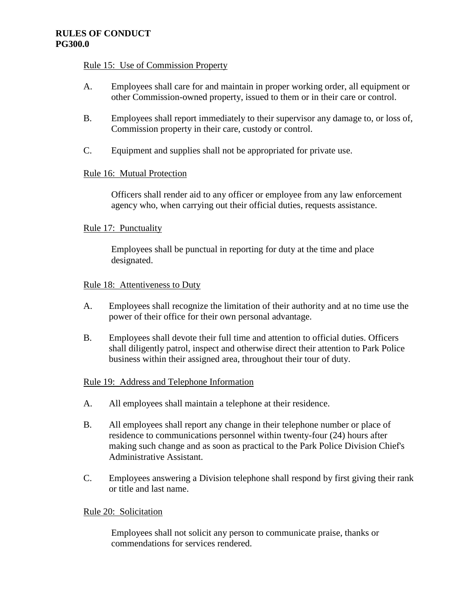## Rule 15: Use of Commission Property

- A. Employees shall care for and maintain in proper working order, all equipment or other Commission-owned property, issued to them or in their care or control.
- B. Employees shall report immediately to their supervisor any damage to, or loss of, Commission property in their care, custody or control.
- C. Equipment and supplies shall not be appropriated for private use.

# Rule 16: Mutual Protection

Officers shall render aid to any officer or employee from any law enforcement agency who, when carrying out their official duties, requests assistance.

# Rule 17: Punctuality

Employees shall be punctual in reporting for duty at the time and place designated.

## Rule 18: Attentiveness to Duty

- A. Employees shall recognize the limitation of their authority and at no time use the power of their office for their own personal advantage.
- B. Employees shall devote their full time and attention to official duties. Officers shall diligently patrol, inspect and otherwise direct their attention to Park Police business within their assigned area, throughout their tour of duty.

## Rule 19: Address and Telephone Information

- A. All employees shall maintain a telephone at their residence.
- B. All employees shall report any change in their telephone number or place of residence to communications personnel within twenty-four (24) hours after making such change and as soon as practical to the Park Police Division Chief's Administrative Assistant.
- C. Employees answering a Division telephone shall respond by first giving their rank or title and last name.

## Rule 20: Solicitation

Employees shall not solicit any person to communicate praise, thanks or commendations for services rendered.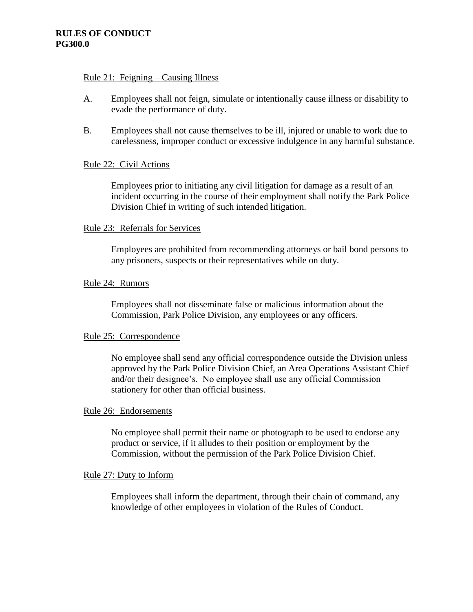#### Rule 21: Feigning – Causing Illness

- A. Employees shall not feign, simulate or intentionally cause illness or disability to evade the performance of duty.
- B. Employees shall not cause themselves to be ill, injured or unable to work due to carelessness, improper conduct or excessive indulgence in any harmful substance.

## Rule 22: Civil Actions

Employees prior to initiating any civil litigation for damage as a result of an incident occurring in the course of their employment shall notify the Park Police Division Chief in writing of such intended litigation.

## Rule 23: Referrals for Services

Employees are prohibited from recommending attorneys or bail bond persons to any prisoners, suspects or their representatives while on duty.

## Rule 24: Rumors

Employees shall not disseminate false or malicious information about the Commission, Park Police Division, any employees or any officers.

## Rule 25: Correspondence

No employee shall send any official correspondence outside the Division unless approved by the Park Police Division Chief, an Area Operations Assistant Chief and/or their designee's. No employee shall use any official Commission stationery for other than official business.

## Rule 26: Endorsements

No employee shall permit their name or photograph to be used to endorse any product or service, if it alludes to their position or employment by the Commission, without the permission of the Park Police Division Chief.

## Rule 27: Duty to Inform

Employees shall inform the department, through their chain of command, any knowledge of other employees in violation of the Rules of Conduct.